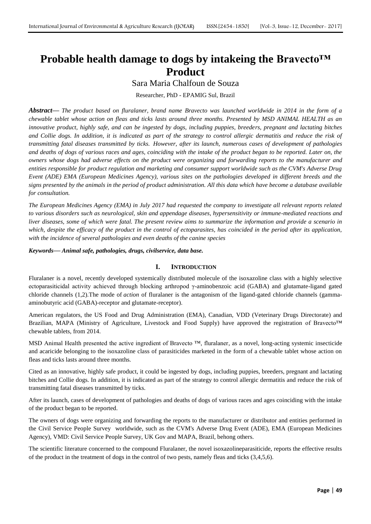# **Probable health damage to dogs by intakeing the Bravecto™ Product**

# Sara Maria Chalfoun de Souza

Researcher, PhD - EPAMIG Sul, Brazil

*Abstract***—** *The product based on fluralaner, brand name Bravecto was launched worldwide in 2014 in the form of a chewable tablet whose action on fleas and ticks lasts around three months. Presented by MSD ANIMAL HEALTH as an innovative product, highly safe, and can be ingested by dogs, including puppies, breeders, pregnant and lactating bitches and Collie dogs. In addition, it is indicated as part of the strategy to control allergic dermatitis and reduce the risk of transmitting fatal diseases transmitted by ticks. However, after its launch, numerous cases of development of pathologies and deaths of dogs of various races and ages, coinciding with the intake of the product began to be reported. Later on, the owners whose dogs had adverse effects on the product were organizing and forwarding reports to the manufacturer and entities responsible for product regulation and marketing and consumer support worldwide such as the CVM's Adverse Drug Event (ADE) EMA (European Medicines Agency), various sites on the pathologies developed in different breeds and the signs presented by the animals in the period of product administration. All this data which have become a database available for consultation.* 

*The European Medicines Agency (EMA) in July 2017 had requested the company to investigate all relevant reports related to various disorders such as neurological, skin and appendage diseases, hypersensitivity or immune-mediated reactions and liver diseases, some of which were fatal. The present review aims to summarize the information and provide a scenario in which, despite the efficacy of the product in the control of ectoparasites, has coincided in the period after its application, with the incidence of several pathologies and even deaths of the canine species*

## *Keywords***—** *Animal safe, pathologies, drugs, civilservice, data base.*

## **I. INTRODUCTION**

Fluralaner is a novel, recently developed systemically distributed molecule of the isoxazoline class with a highly selective ectoparasiticidal activity achieved through blocking arthropod γ-aminobenzoic acid (GABA) and glutamate-ligand gated chloride channels (1,2).The mode of *action* of fluralaner is the antagonism of the ligand-gated chloride channels (gammaaminobutyric acid (GABA)-receptor and glutamate-receptor).

American regulators, the US Food and Drug Administration (EMA), Canadian, VDD (Veterinary Drugs Directorate) and Brazilian, MAPA (Ministry of Agriculture, Livestock and Food Supply) have approved the registration of Bravecto™ chewable tablets, from 2014.

MSD Animal Health presented the active ingredient of Bravecto ™, fluralaner, as a novel, long-acting systemic insecticide and acaricide belonging to the isoxazoline class of parasiticides marketed in the form of a chewable tablet whose action on fleas and ticks lasts around three months.

Cited as an innovative, highly safe product, it could be ingested by dogs, including puppies, breeders, pregnant and lactating bitches and Collie dogs. In addition, it is indicated as part of the strategy to control allergic dermatitis and reduce the risk of transmitting fatal diseases transmitted by ticks.

After its launch, cases of development of pathologies and deaths of dogs of various races and ages coinciding with the intake of the product began to be reported.

The owners of dogs were organizing and forwarding the reports to the manufacturer or distributor and entities performed in the Civil Service People Survey worldwide, such as the CVM's Adverse Drug Event (ADE), EMA (European Medicines Agency), VMD: Civil Service People Survey, UK Gov and MAPA, Brazil, behong others.

The scientific literature concerned to the compound Fluralaner, the novel isoxazolineparasiticide, reports the effective results of the product in the treatment of dogs in the control of two pests, namely fleas and ticks (3,4,5,6).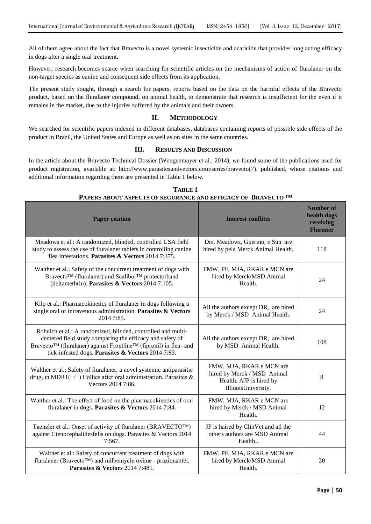All of them agree about the fact that Bravecto is a novel systemic insecticide and acaricide that provides long acting efficacy in dogs after a single oral treatment.

However, research becomes scarce when searching for scientific articles on the mechanisms of action of fluralaner on the non-target species as canine and consequent side effects from its application.

The present study sought, through a search for papers, reports based on the data on the harmful effects of the Bravecto product, based on the fluralaner compound, on animal health, to demonstrate that research is insufficient for the even if it remains in the market, due to the injuries suffered by the animals and their owners.

# **II. METHODOLOGY**

We searched for scientific papers indexed in different databases, databases containing reports of possible side effects of the product in Brazil, the United States and Europe as well as on sites in the same countries.

## **III. RESULTS AND DISCUSSION**

In the article about the Bravecto Technical Dossier (Wengenmayer et al., 2014), we found some of the publications used for product registration, available at: http://www.parasitesandvectors.com/series/bravecto(7). published, whose citations and additional information regarding them are presented in Table 1 below.

| <b>Paper citation</b>                                                                                                                                                                                                                                | <b>Interest conflites</b>                                                                                 | <b>Number of</b><br>health dogs<br>receiving<br><b>Fluraner</b> |
|------------------------------------------------------------------------------------------------------------------------------------------------------------------------------------------------------------------------------------------------------|-----------------------------------------------------------------------------------------------------------|-----------------------------------------------------------------|
| Meadows et al.: A randomized, blinded, controlled USA field<br>study to assess the use of fluralaner tablets in controlling canine<br>flea infestations. Parasites & Vectors 2014 7:375.                                                             | Drs. Meadows, Guerino, e Sun are<br>hired by pela Merck Animal Health.                                    | 118                                                             |
| Walther et al.: Safety of the concurrent treatment of dogs with<br>Bravecto™ (fluralaner) and Scalibor™ protectorband<br>(deltamethrin). Parasites & Vectors 2014 7:105.                                                                             | FMW, PF, MJA, RKAR e MCN are<br>hired by Merck/MSD Animal<br>Health.                                      | 24                                                              |
| Kilp et al.: Pharmacokinetics of fluralaner in dogs following a<br>single oral or intravenous administration. Parasites $\&$ Vectors<br>2014 7:85.                                                                                                   | All the authors except DR, are hired<br>by Merck / MSD Animal Health.                                     | 24                                                              |
| Rohdich et al.: A randomized, blinded, controlled and multi-<br>centered field study comparing the efficacy and safety of<br>Bravecto™ (fluralaner) against Frontline™ (fipronil) in flea- and<br>tick-infested dogs. Parasites & Vectors 2014 7:83. | All the authors except DR, are hired<br>by MSD Animal Health.                                             | 108                                                             |
| Walther et al.: Safety of fluralaner, a novel systemic antiparasitic<br>drug, in MDR1( $-/-$ ) Collies after oral administration. Parasites &<br>Vectors 2014 7:86.                                                                                  | FMW, MJA, RKAR e MCN are<br>hired by Merck / MSD Animal<br>Health. AJP is hired by<br>IllinoisUniversity. | 8                                                               |
| Walther et al.: The effect of food on the pharmacokinetics of oral<br>fluralaner in dogs. Parasites & Vectors 2014 7:84.                                                                                                                             | FMW, MJA, RKAR e MCN are<br>hired by Merck / MSD Animal<br>Health.                                        | 12                                                              |
| Taenzler et al.: Onset of activity of fluralaner (BRAVECTO <sup>TM</sup> )<br>against Ctenocephalidesfelis on dogs. Parasites & Vectors 2014<br>7:567.                                                                                               | JF is haired by ClinVet and all the<br>others authors are MSD Animal<br>Health                            | 44                                                              |
| Walther et al.: Safety of concurrent treatment of dogs with<br>fluralaner (Bravecto <sup>TM</sup> ) and milbemycin oxime - praziquantel.<br>Parasites & Vectors 2014 7:481.                                                                          | FMW, PF, MJA, RKAR e MCN are<br>hired by Merck/MSD Animal<br>Health.                                      | 20                                                              |

**TABLE 1 PAPERS ABOUT ASPECTS OF SEGURANCE AND EFFICACY OF BRAVECTO ™**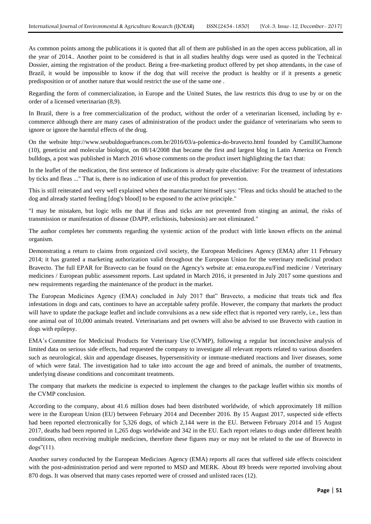As common points among the publications it is quoted that all of them are published in an the open access publication, all in the year of 2014.. Another point to be considered is that in all studies healthy dogs were used as quoted in the Technical Dossier, aiming the registration of the product. Being a free-marketing product offered by pet shop attendants, in the case of Brazil, it would be impossible to know if the dog that will receive the product is healthy or if it presents a genetic predisposition or of another nature that would restrict the use of the same one .

Regarding the form of commercialization, in Europe and the United States, the law restricts this drug to use by or on the order of a licensed veterinarian (8,9).

In Brazil, there is a free commercialization of the product, without the order of a veterinarian licensed, including by ecommerce although there are many cases of administration of the product under the guidance of veterinarians who seem to ignore or ignore the harmful effects of the drug.

On the website http://www.seubuldoguefrances.com.br/2016/03/a-polemica-do-bravecto.html founded by CamilliChamone (10), geneticist and molecular biologist, on 08/14/2008 that became the first and largest blog in Latin America on French bulldogs, a post was published in March 2016 whose comments on the product insert highlighting the fact that:

In the leaflet of the medication, the first sentence of Indications is already quite elucidative: For the treatment of infestations by ticks and fleas ..." That is, there is no indication of use of this product for prevention.

This is still reiterated and very well explained when the manufacturer himself says: "Fleas and ticks should be attached to the dog and already started feeding [dog's blood] to be exposed to the active principle."

"I may be mistaken, but logic tells me that if fleas and ticks are not prevented from stinging an animal, the risks of transmission or manifestation of disease (DAPP, erlichiosis, babesiosis) are not eliminated."

The author completes her comments regarding the systemic action of the product with little known effects on the animal organism.

Demonstrating a return to claims from organized civil society, the European Medicines Agency (EMA) after 11 February 2014; it has granted a marketing authorization valid throughout the European Union for the veterinary medicinal product Bravecto. The full EPAR for Bravecto can be found on the Agency's website at: ema.europa.eu/Find medicine / Veterinary medicines / European public assessment reports. Last updated in March 2016, it presented in July 2017 some questions and new requirements regarding the maintenance of the product in the market.

The European Medicines Agency (EMA) concluded in July 2017 that" Bravecto, a medicine that treats tick and flea infestations in dogs and cats, continues to have an acceptable safety profile. However, the company that markets the product will have to update the package leaflet and include convulsions as a new side effect that is reported very rarely, i.e., less than one animal out of 10,000 animals treated. Veterinarians and pet owners will also be advised to use Bravecto with caution in dogs with epilepsy.

EMA's Committee for Medicinal Products for Veterinary Use (CVMP), following a regular but inconclusive analysis of limited data on serious side effects, had requested the company to investigate all relevant reports related to various disorders such as neurological, skin and appendage diseases, hypersensitivity or immune-mediated reactions and liver diseases, some of which were fatal. The investigation had to take into account the age and breed of animals, the number of treatments, underlying disease conditions and concomitant treatments.

The company that markets the medicine is expected to implement the changes to the package leaflet within six months of the CVMP conclusion.

According to the company, about 41.6 million doses had been distributed worldwide, of which approximately 18 million were in the European Union (EU) between February 2014 and December 2016. By 15 August 2017, suspected side effects had been reported electronically for 5,326 dogs, of which 2,144 were in the EU. Between February 2014 and 15 August 2017, deaths had been reported in 1,265 dogs worldwide and 342 in the EU. Each report relates to dogs under different health conditions, often receiving multiple medicines, therefore these figures may or may not be related to the use of Bravecto in dogs"(11).

Another survey conducted by the European Medicines Agency (EMA) reports all races that suffered side effects coincident with the post-administration period and were reported to MSD and MERK. About 89 breeds were reported involving about 870 dogs. It was observed that many cases reported were of crossed and unlisted races (12).